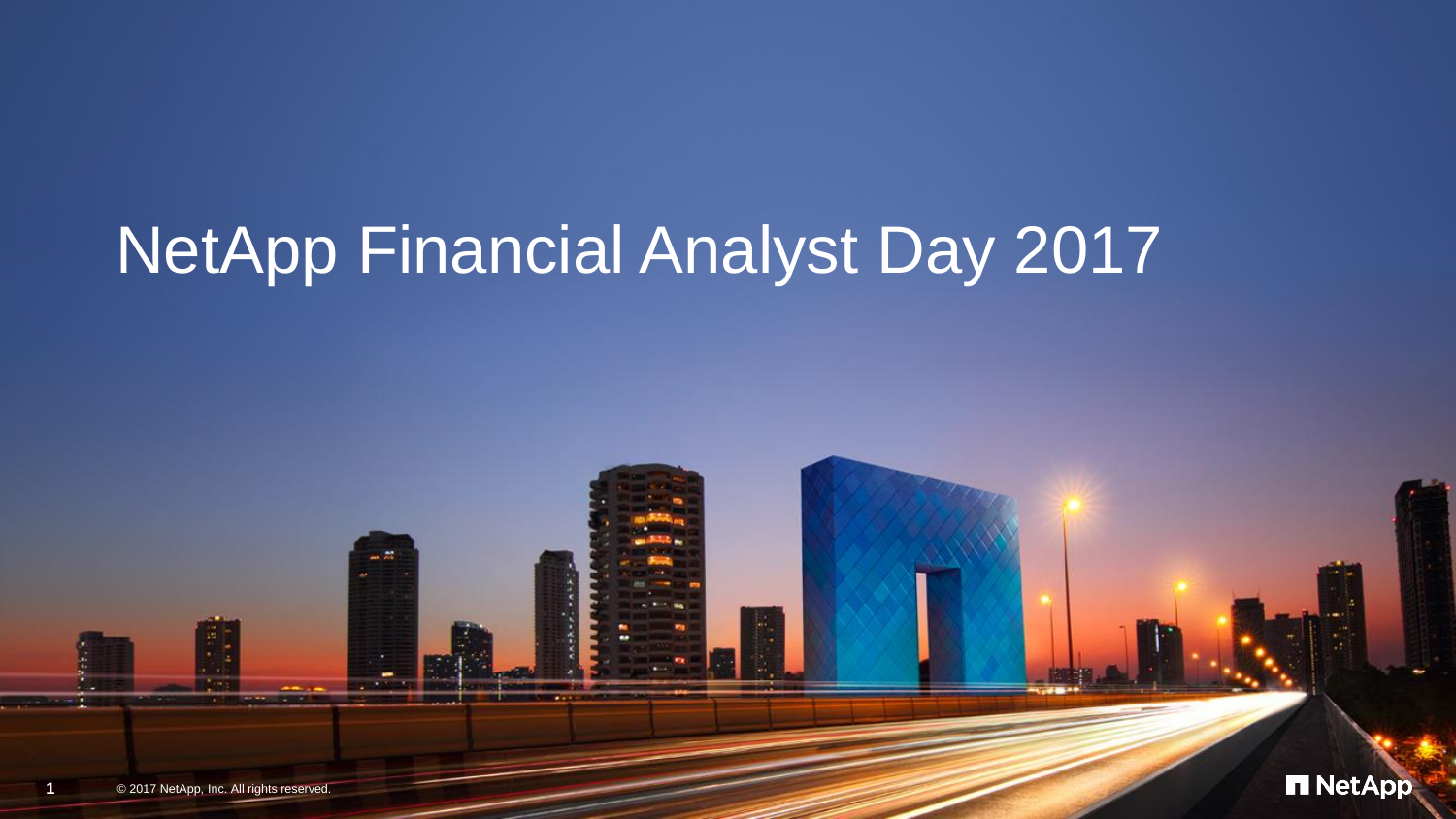# NetApp Financial Analyst Day 2017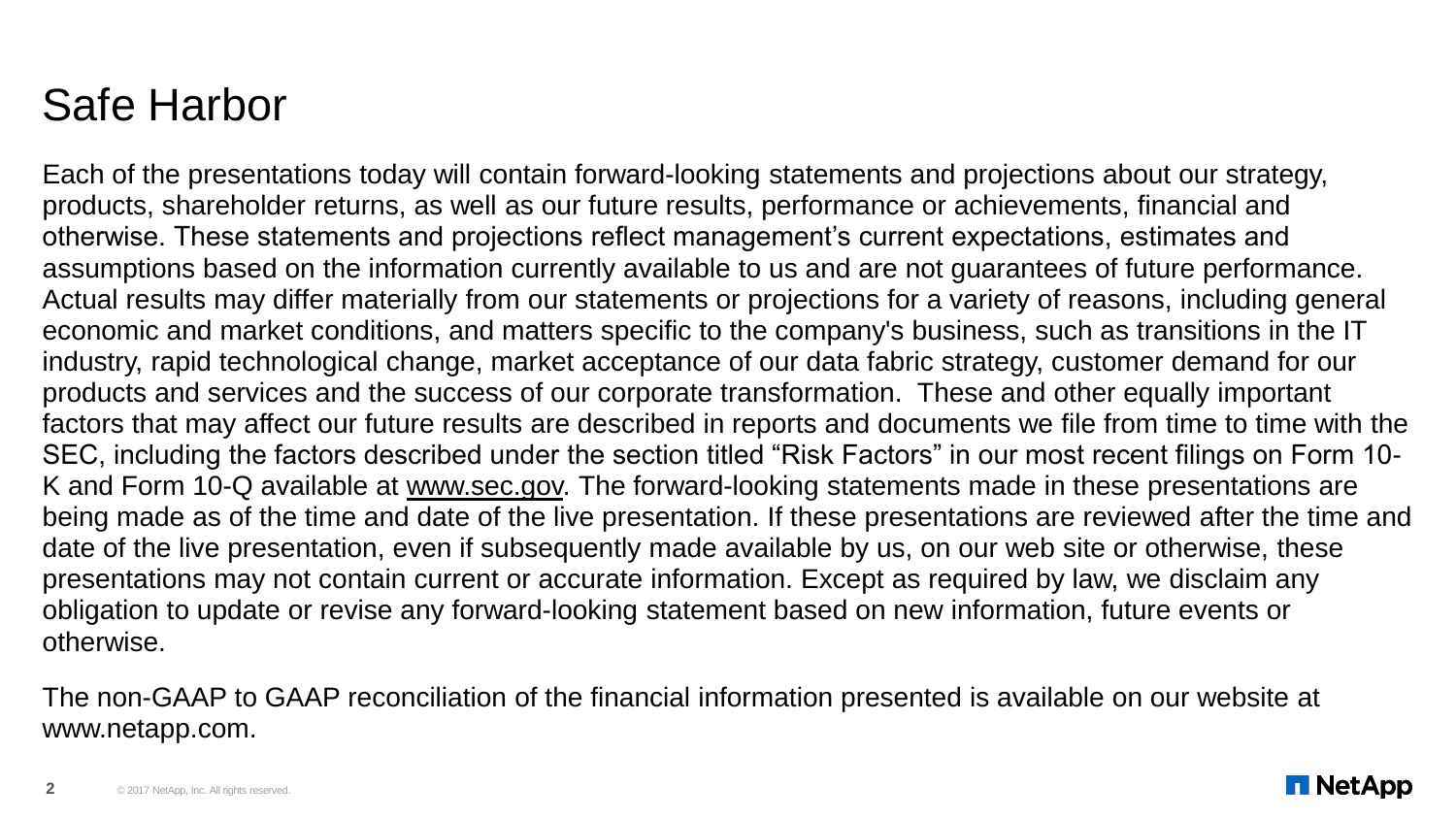#### Safe Harbor

Each of the presentations today will contain forward-looking statements and projections about our strategy, products, shareholder returns, as well as our future results, performance or achievements, financial and otherwise. These statements and projections reflect management's current expectations, estimates and assumptions based on the information currently available to us and are not guarantees of future performance. Actual results may differ materially from our statements or projections for a variety of reasons, including general economic and market conditions, and matters specific to the company's business, such as transitions in the IT industry, rapid technological change, market acceptance of our data fabric strategy, customer demand for our products and services and the success of our corporate transformation. These and other equally important factors that may affect our future results are described in reports and documents we file from time to time with the SEC, including the factors described under the section titled "Risk Factors" in our most recent filings on Form 10- K and Form 10-Q available at www.sec.gov. The forward-looking statements made in these presentations are being made as of the time and date of the live presentation. If these presentations are reviewed after the time and date of the live presentation, even if subsequently made available by us, on our web site or otherwise, these presentations may not contain current or accurate information. Except as required by law, we disclaim any obligation to update or revise any forward-looking statement based on new information, future events or otherwise.

The non-GAAP to GAAP reconciliation of the financial information presented is available on our website at www.netapp.com.

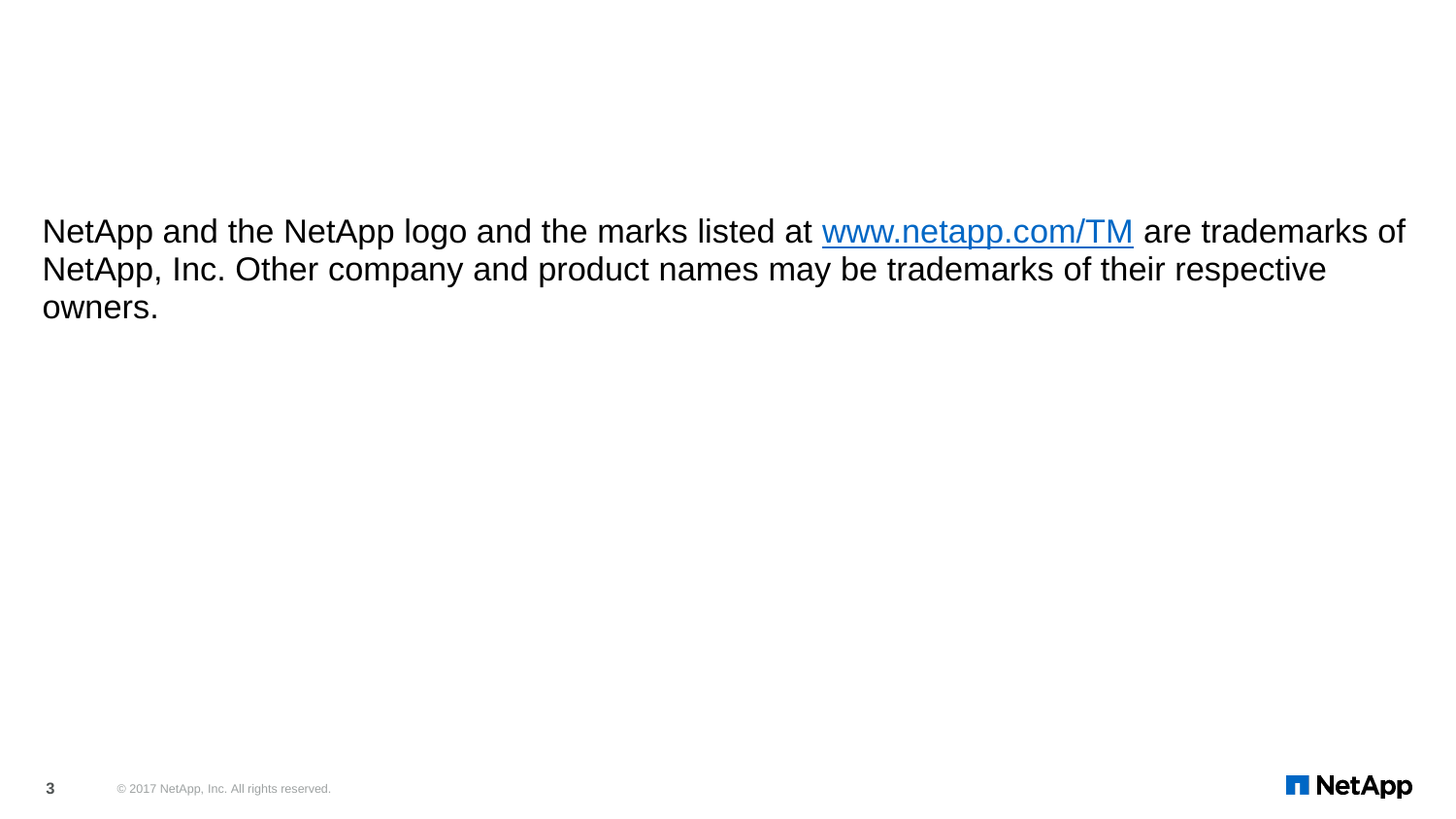NetApp and the NetApp logo and the marks listed at [www.netapp.com/TM](http://www.netapp.com/TM) are trademarks of NetApp, Inc. Other company and product names may be trademarks of their respective owners.

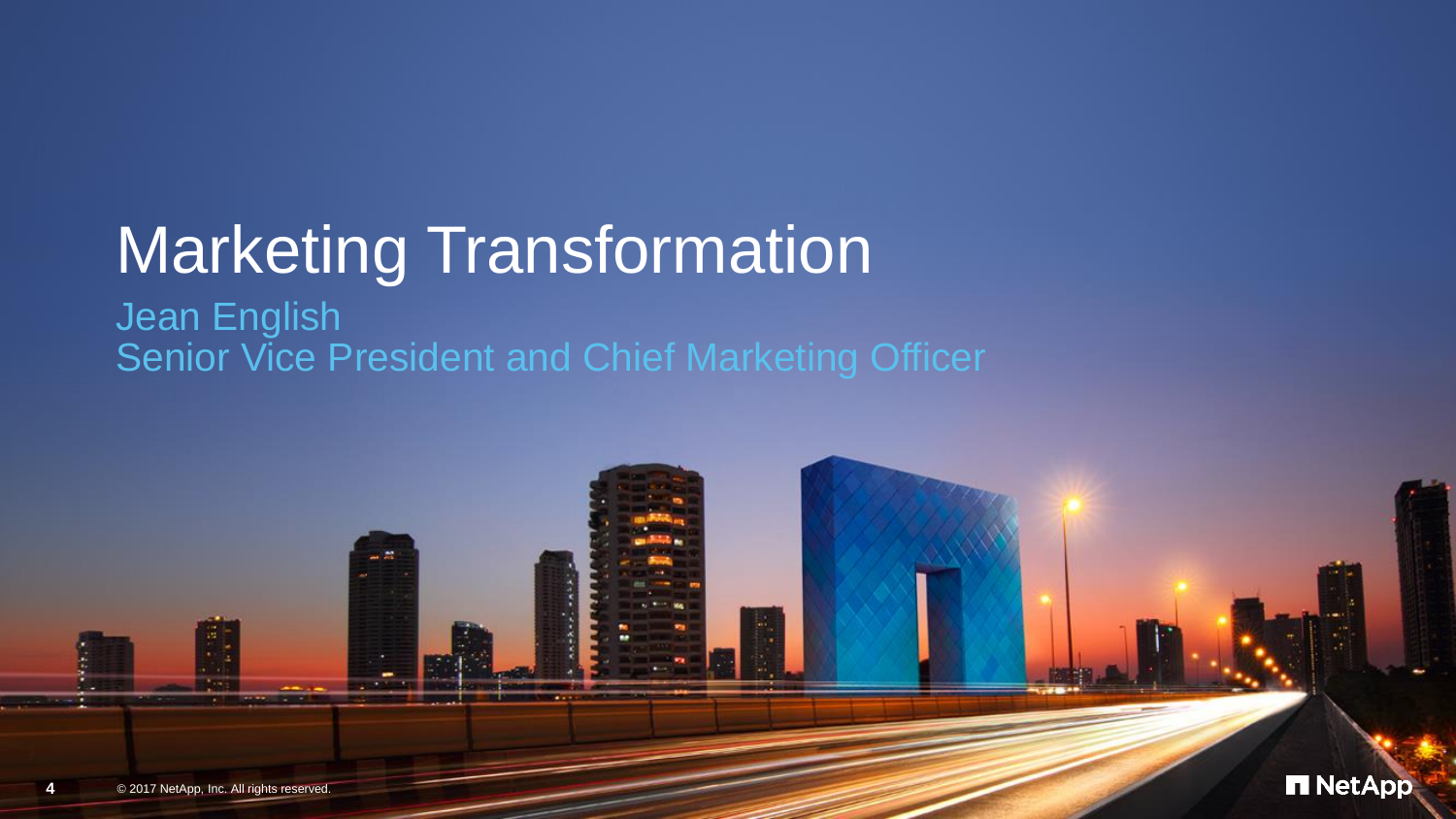# Marketing Transformation

Jean English Senior Vice President and Chief Marketing Officer

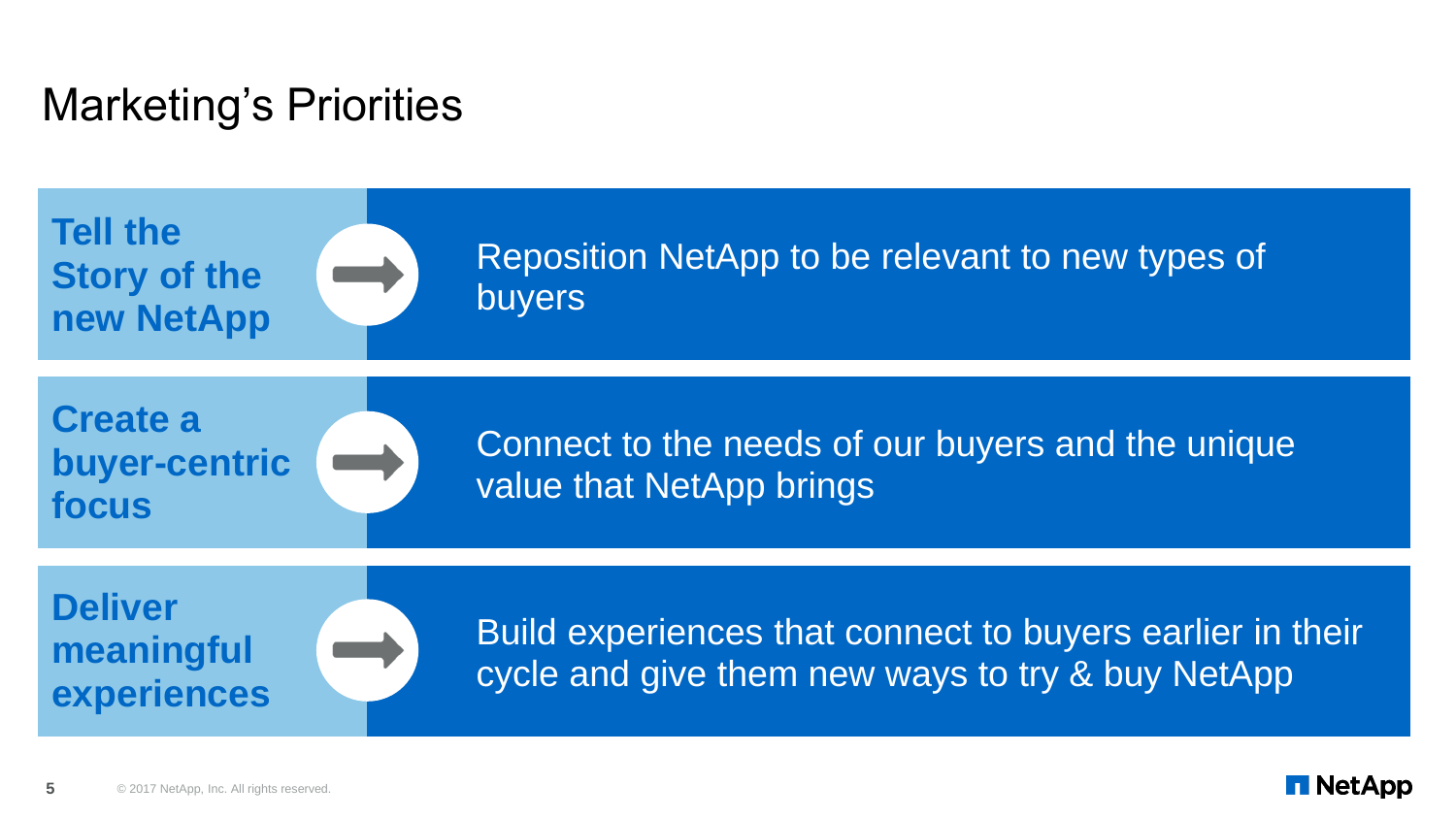## Marketing's Priorities

**Tell the Story of the new NetApp**



Reposition NetApp to be relevant to new types of buyers

#### **Create a buyer-centric focus**

Connect to the needs of our buyers and the unique value that NetApp brings

**Deliver meaningful experiences**

Build experiences that connect to buyers earlier in their cycle and give them new ways to try & buy NetApp

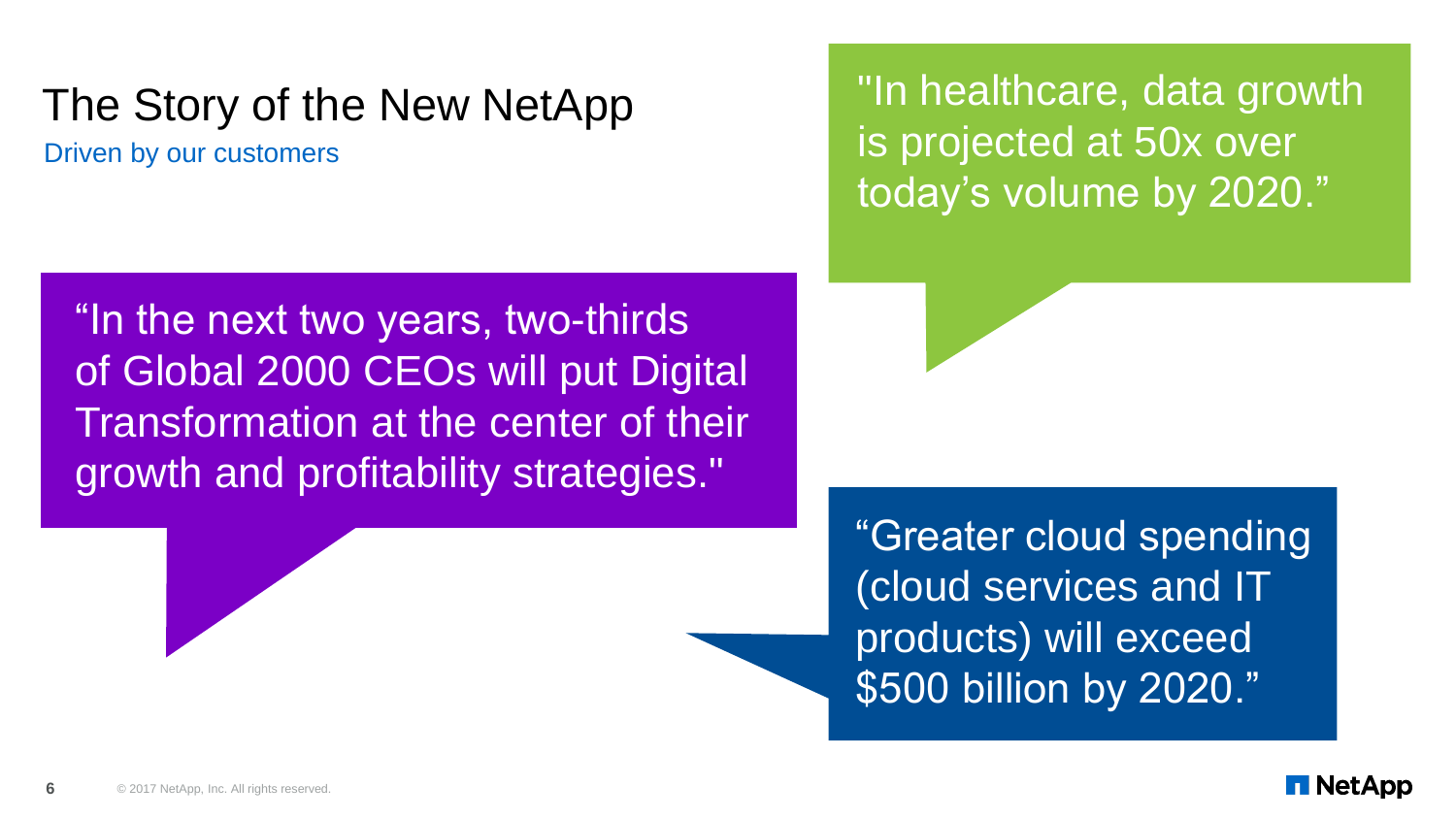## The Story of the New NetApp

Driven by our customers

"In healthcare, data growth is projected at 50x over today's volume by 2020."

"In the next two years, two-thirds of Global 2000 CEOs will put Digital Transformation at the center of their growth and profitability strategies."

> "Greater cloud spending (cloud services and IT products) will exceed \$500 billion by 2020."

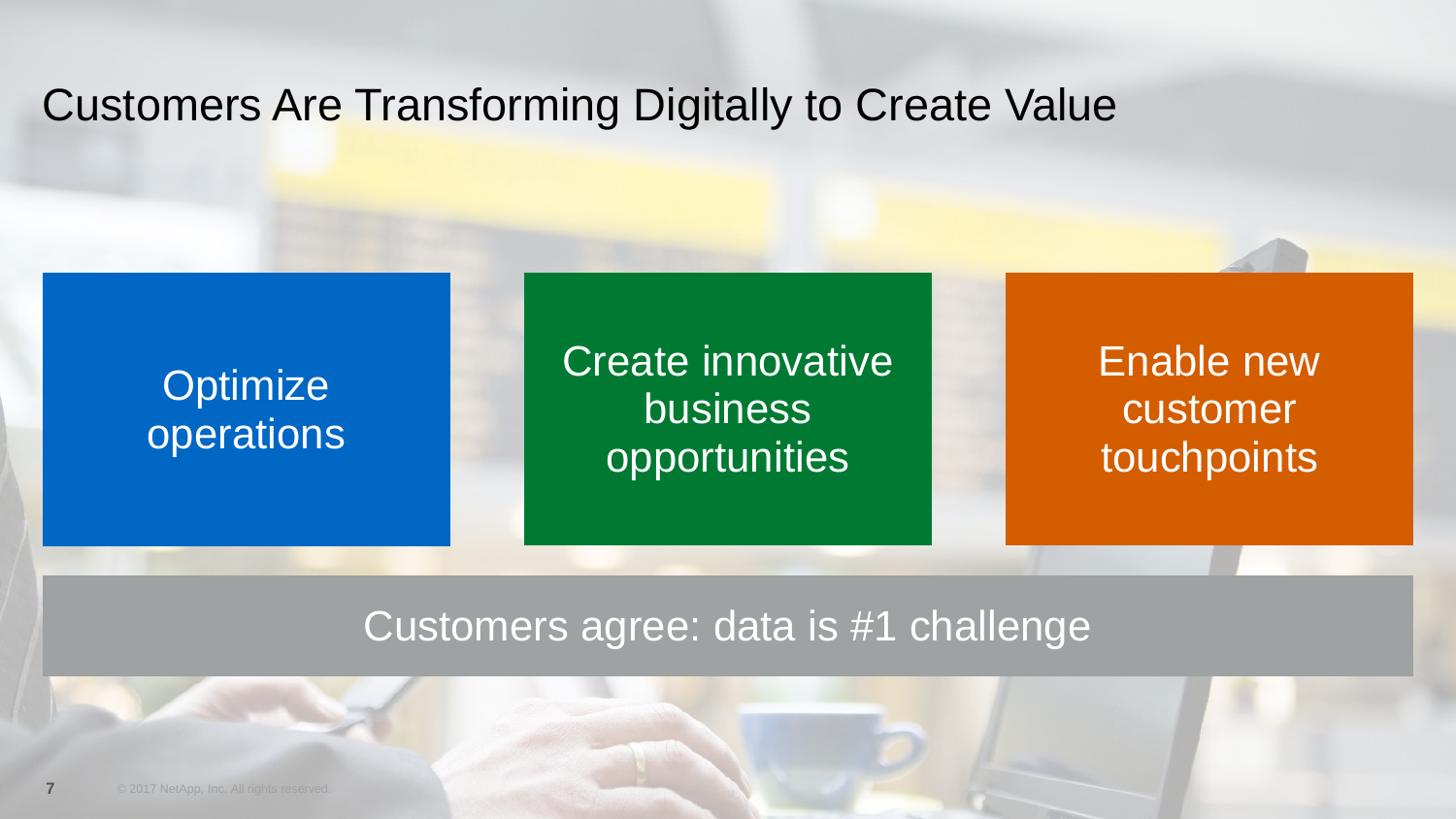#### Customers Are Transforming Digitally to Create Value

#### **Optimize** operations

#### Create innovative business opportunities

#### Enable new customer touchpoints

#### Customers agree: data is #1 challenge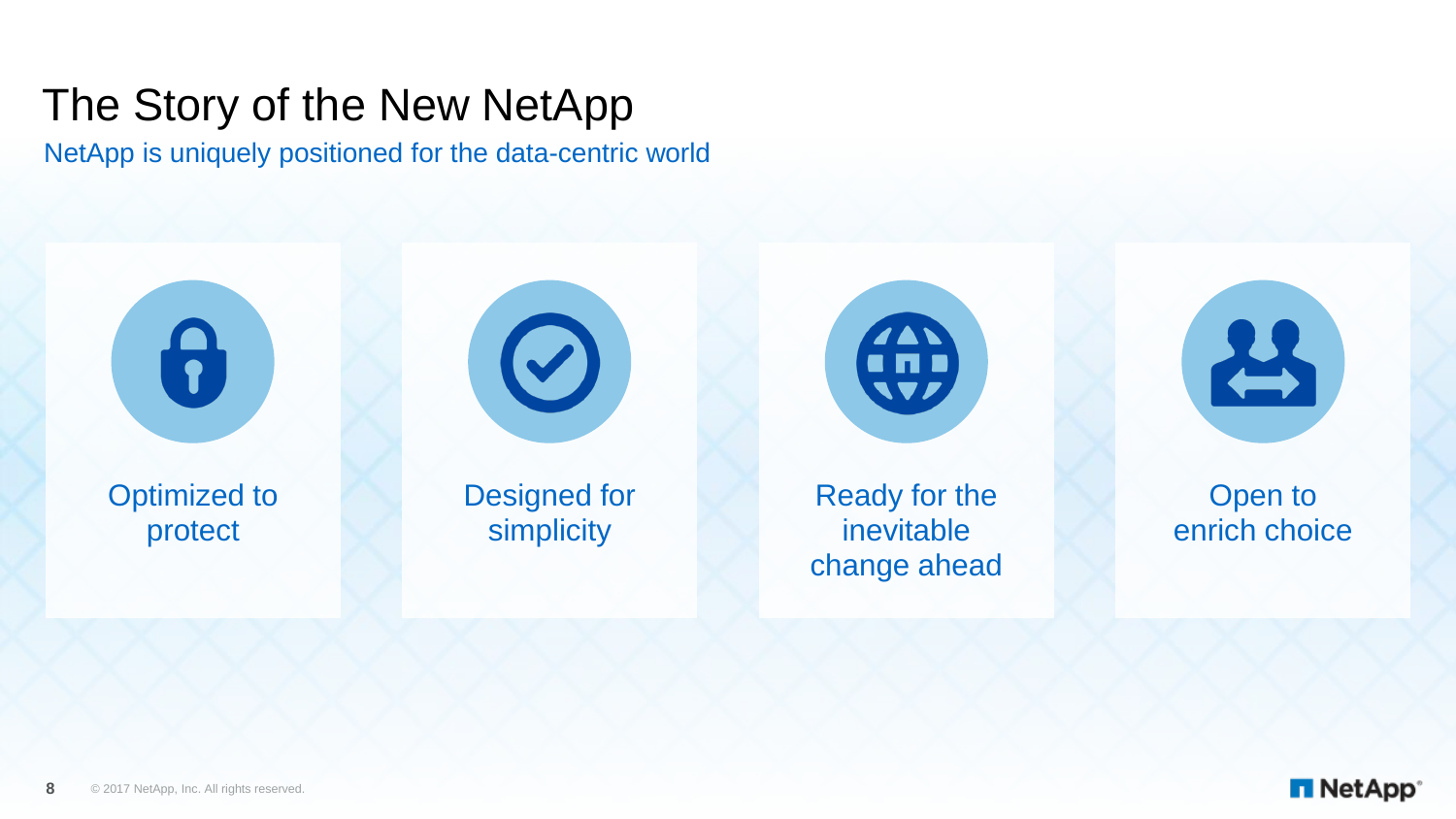# The Story of the New NetApp

NetApp is uniquely positioned for the data-centric world



Optimized to protect



Designed for simplicity





Open to enrich choice

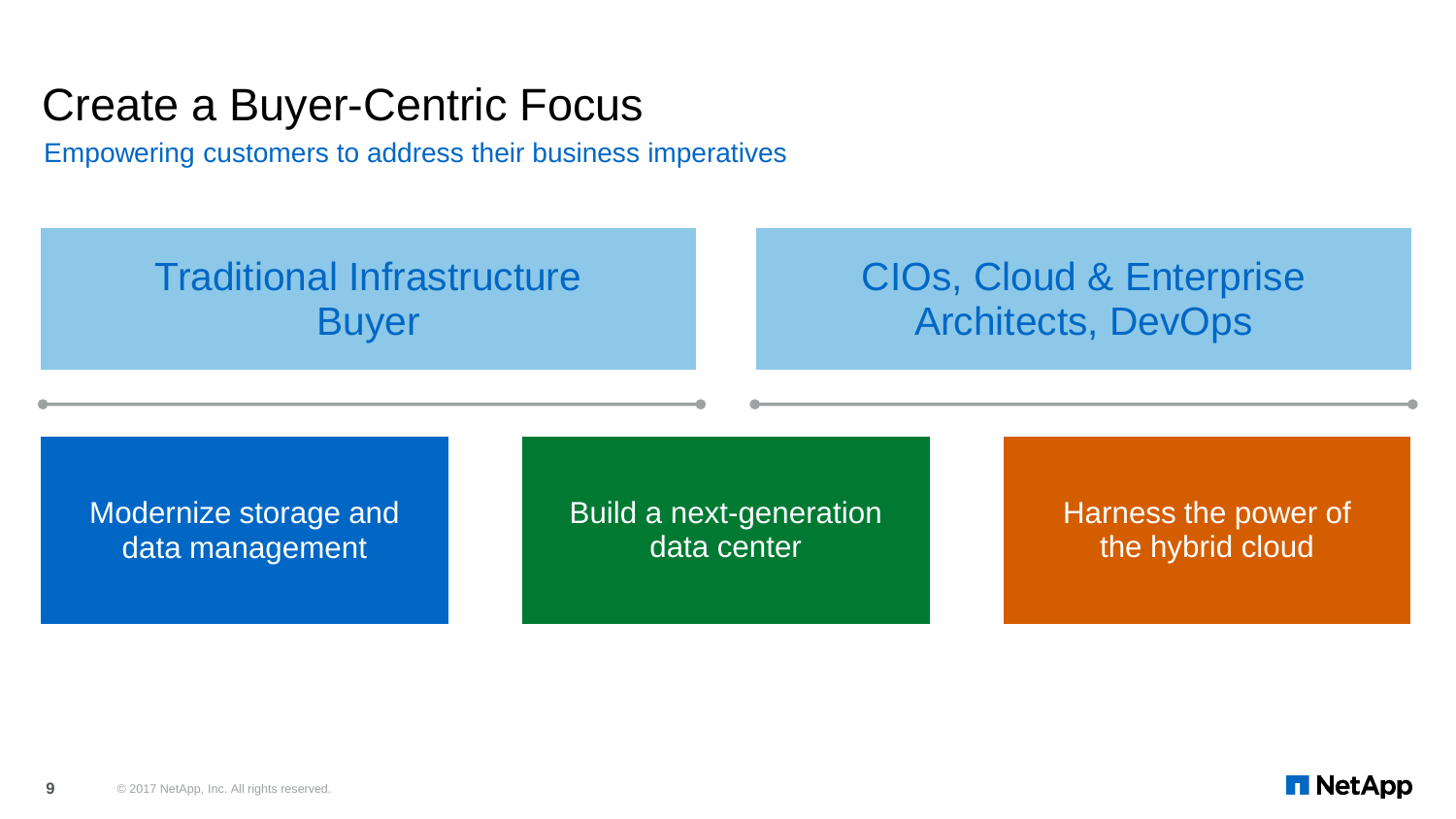### Create a Buyer-Centric Focus

Empowering customers to address their business imperatives

#### Traditional Infrastructure Buyer

#### CIOs, Cloud & Enterprise Architects, DevOps

Modernize storage and data management

Build a next-generation data center

Harness the power of the hybrid cloud

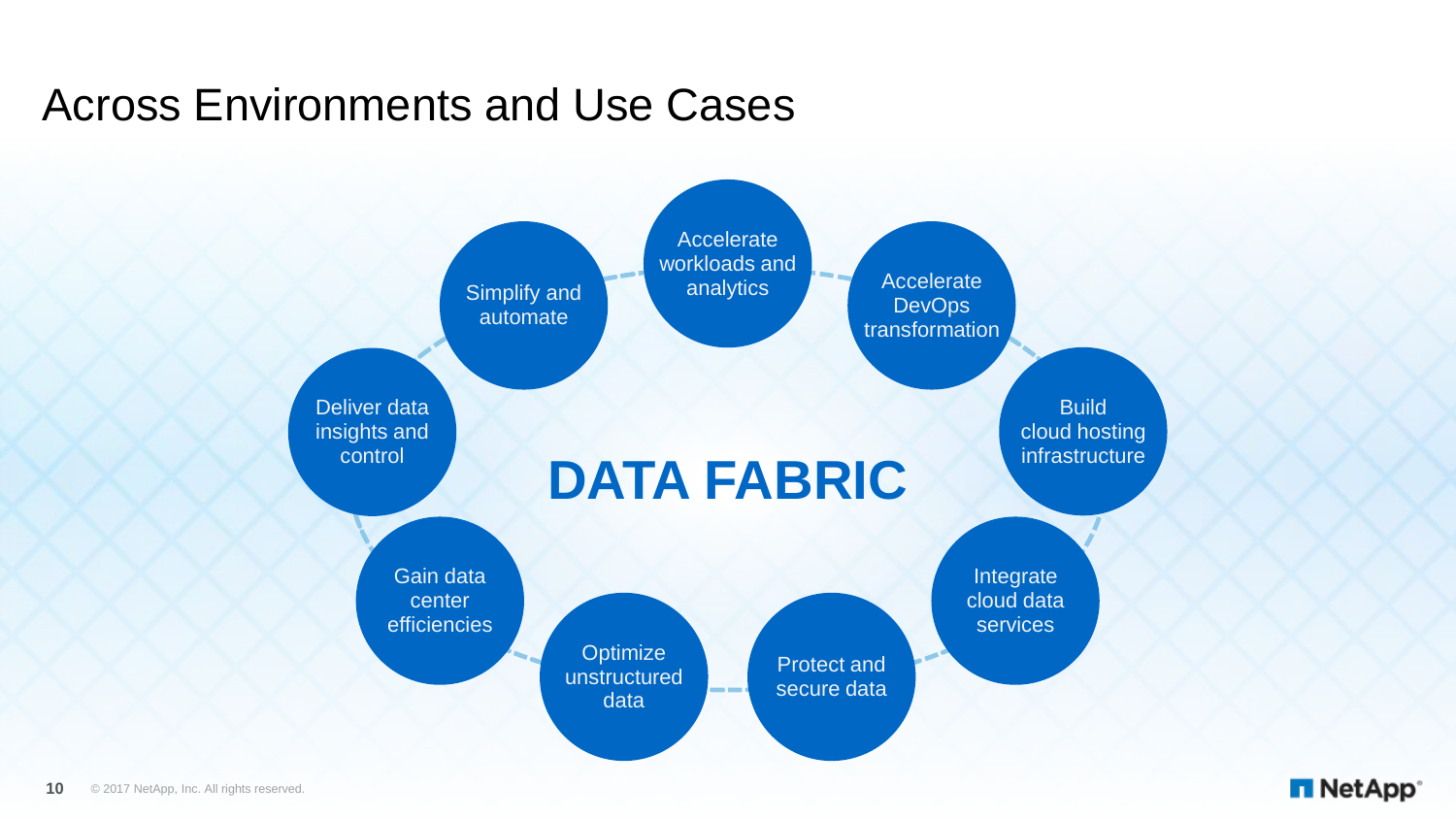### Across Environments and Use Cases



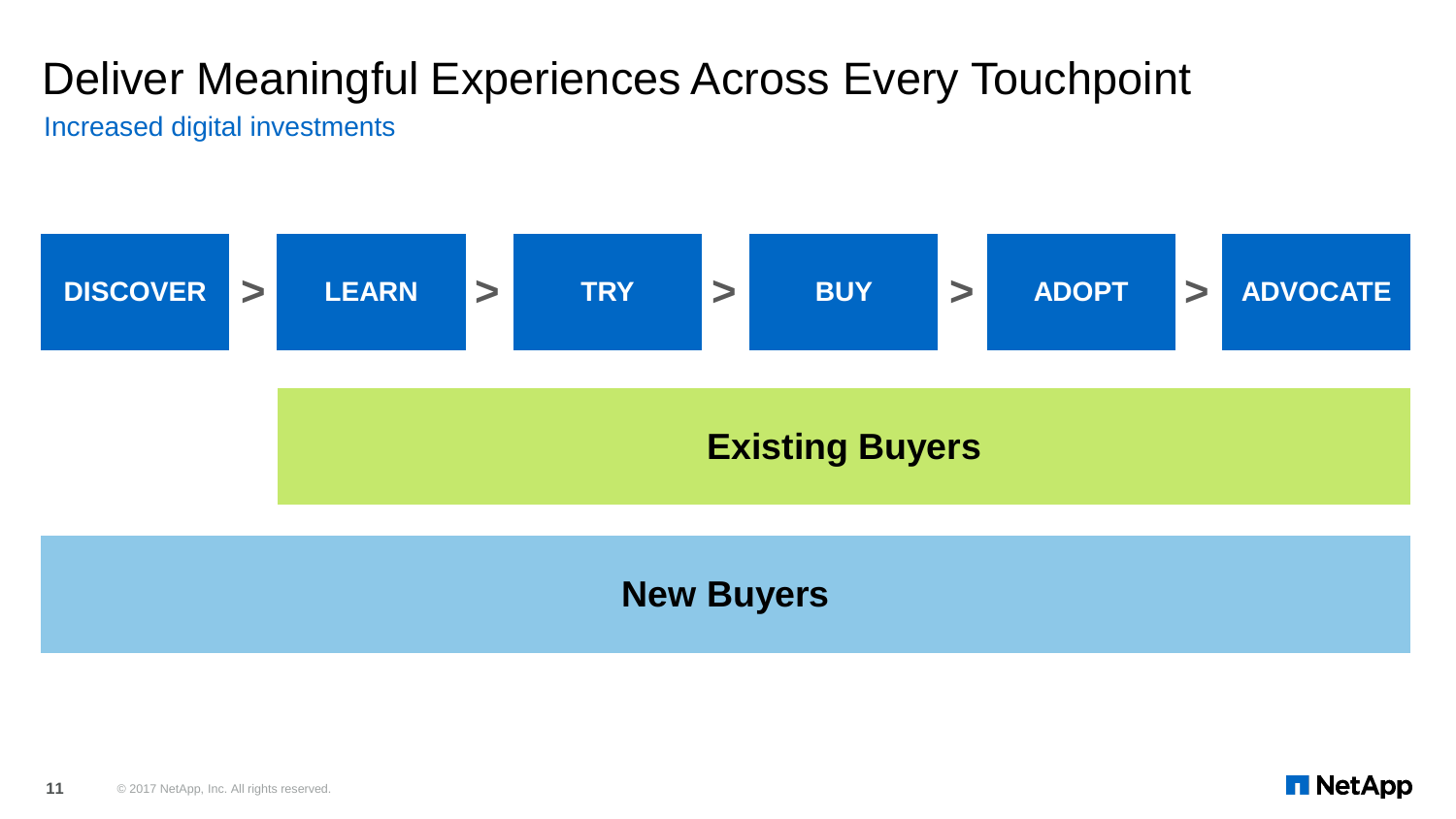Increased digital investments



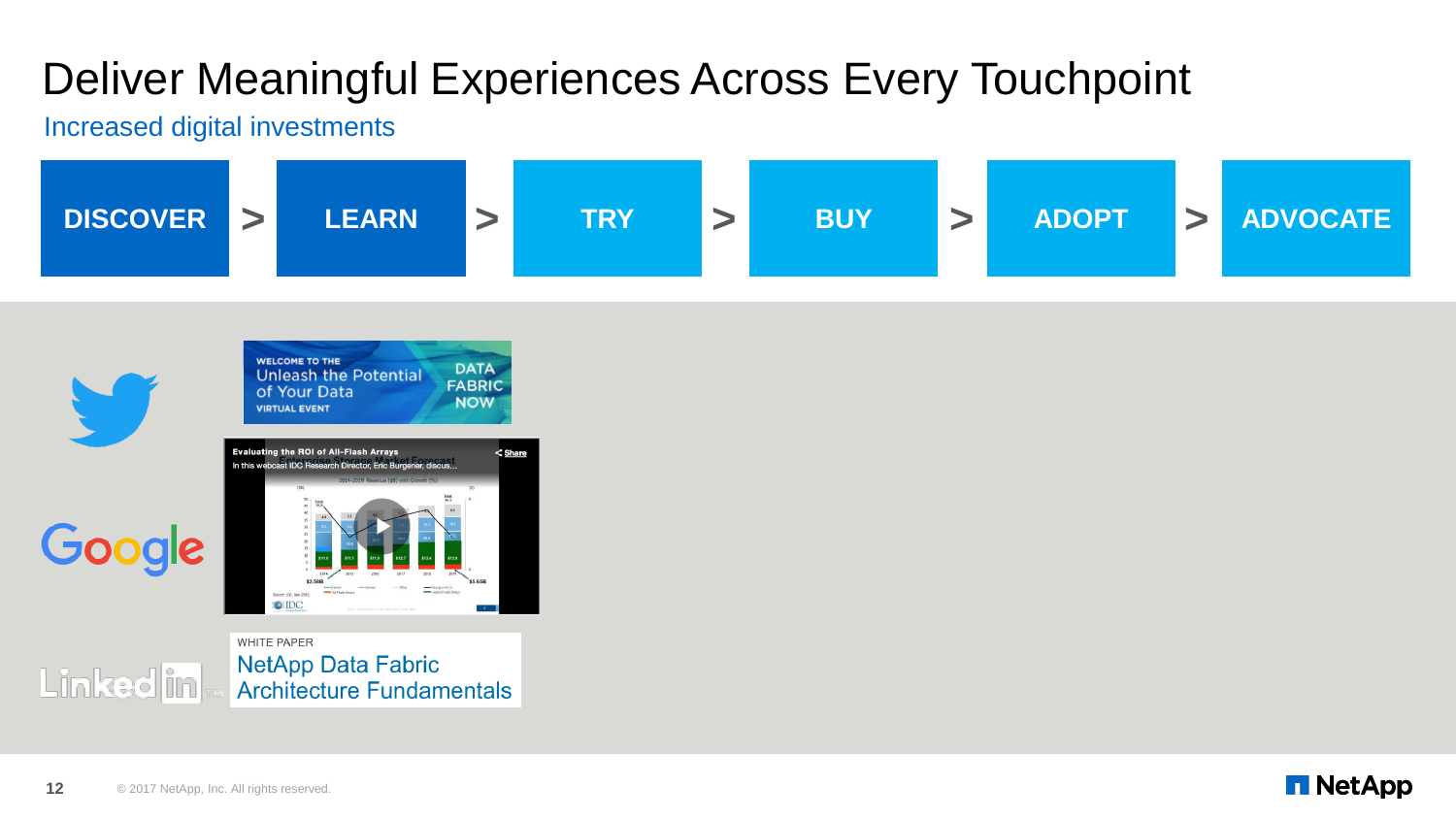#### Increased digital investments





**WHITE PAPER** NetApp Data Fabric Linked in **Architecture Fundamentals** 

12 **C** 2017 NetApp, Inc. All rights reserved.

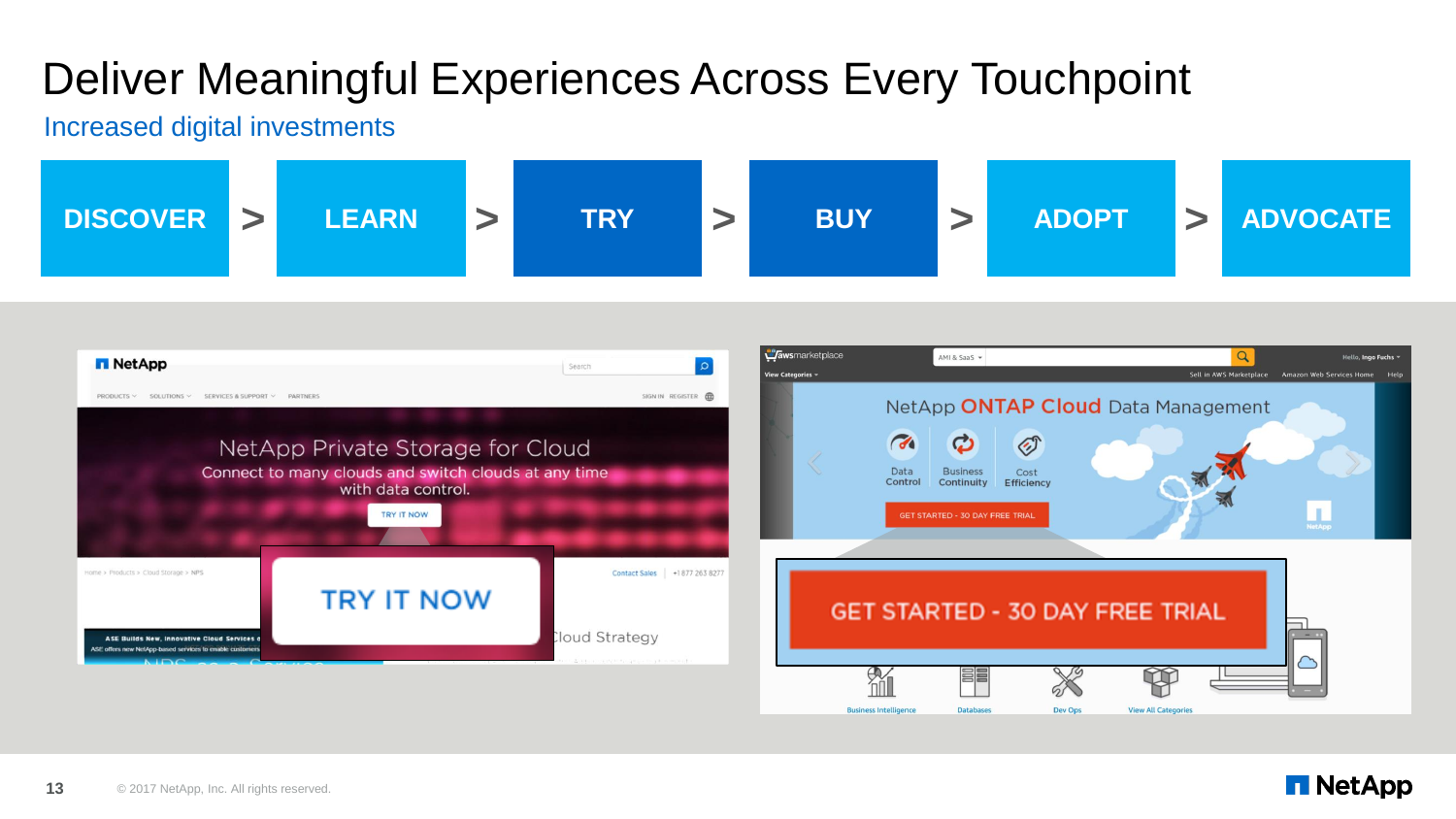#### Increased digital investments



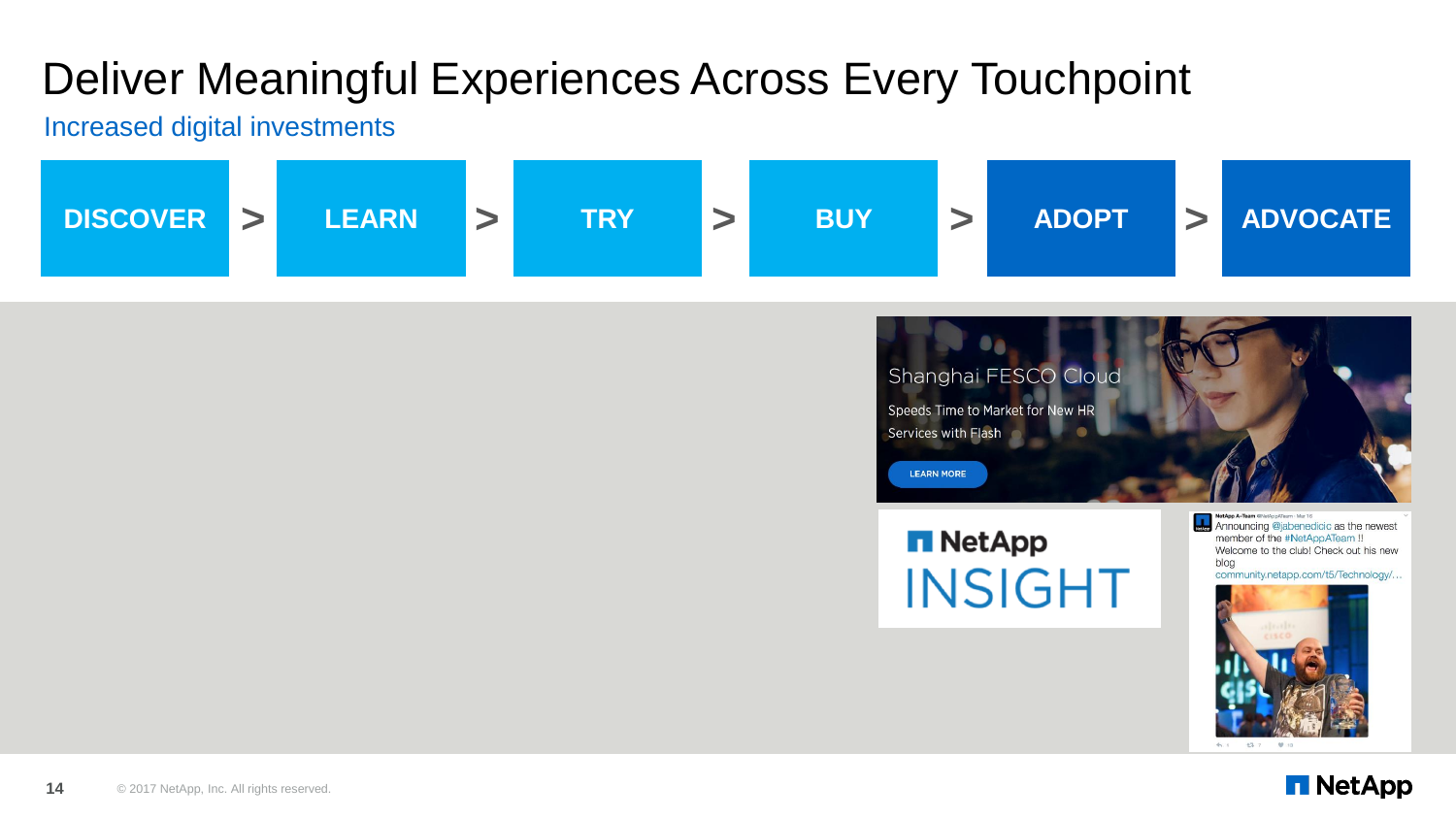Increased digital investments





**NetApp INSIGHT**  Announcing @jabenedicic as the newest member of the #NetAppATeam !! Welcome to the club! Check out his new blog community.netapp.com/t5/Technology/...